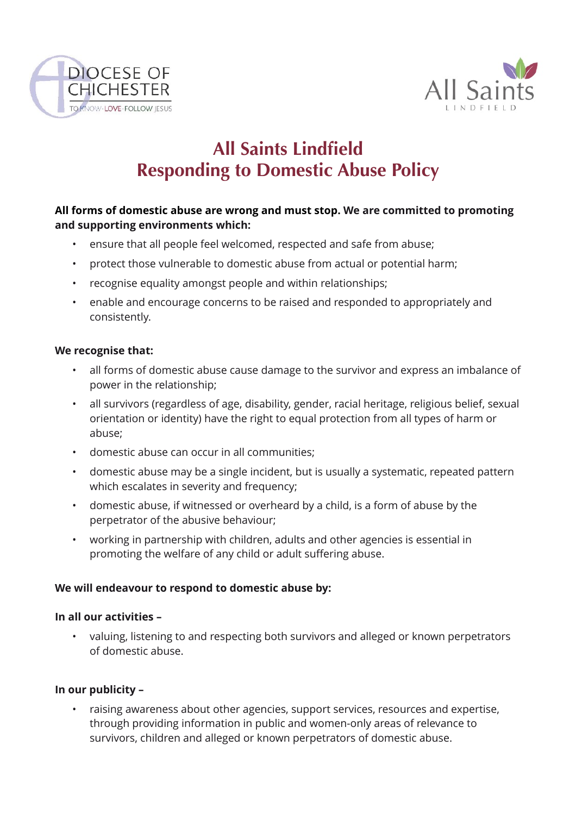



# **All Saints Lindfield Responding to Domestic Abuse Policy**

# **All forms of domestic abuse are wrong and must stop. We are committed to promoting and supporting environments which:**

- ensure that all people feel welcomed, respected and safe from abuse;
- protect those vulnerable to domestic abuse from actual or potential harm;
- recognise equality amongst people and within relationships;
- enable and encourage concerns to be raised and responded to appropriately and consistently.

## **We recognise that:**

- all forms of domestic abuse cause damage to the survivor and express an imbalance of power in the relationship;
- all survivors (regardless of age, disability, gender, racial heritage, religious belief, sexual orientation or identity) have the right to equal protection from all types of harm or abuse;
- domestic abuse can occur in all communities;
- domestic abuse may be a single incident, but is usually a systematic, repeated pattern which escalates in severity and frequency;
- domestic abuse, if witnessed or overheard by a child, is a form of abuse by the perpetrator of the abusive behaviour;
- working in partnership with children, adults and other agencies is essential in promoting the welfare of any child or adult suffering abuse.

## **We will endeavour to respond to domestic abuse by:**

## **In all our activities –**

• valuing, listening to and respecting both survivors and alleged or known perpetrators of domestic abuse.

## **In our publicity –**

• raising awareness about other agencies, support services, resources and expertise, through providing information in public and women-only areas of relevance to survivors, children and alleged or known perpetrators of domestic abuse.